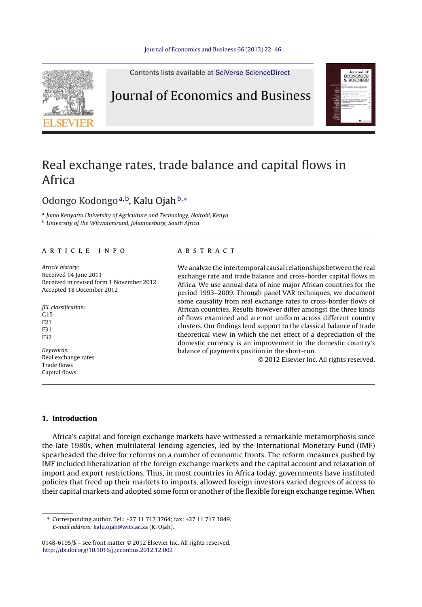

Contents lists available at SciVerse [ScienceDirect](http://www.sciencedirect.com/science/journal/01486195)

# Journal of Economics and Business



# Real exchange rates, trade balance and capital flows in Africa

### Odongo Kodongo<sup>a,b</sup>, Kalu Ojah<sup>b,∗</sup>

<sup>a</sup> Jomo Kenyatta University of Agriculture and Technology, Nairobi, Kenya **b** University of the Witwatersrand, Johannesburg, South Africa

#### a r t i c l e i n f o

Article history: Received 14 June 2011 Received in revised form 1 November 2012 Accepted 18 December 2012

JEL classification:  $G15$ F21 F31 F32 Keywords: Real exchange rates Trade flows

Capital flows

#### a b s t r a c t

We analyze the intertemporal causal relationships between the real exchange rate and trade balance and cross-border capital flows in Africa. We use annual data of nine major African countries for the period 1993–2009. Through panel VAR techniques, we document some causality from real exchange rates to cross-border flows of African countries. Results however differ amongst the three kinds of flows examined and are not uniform across different country clusters. Our findings lend support to the classical balance of trade theoretical view in which the net effect of a depreciation of the domestic currency is an improvement in the domestic country's balance of payments position in the short-run.

© 2012 Elsevier Inc. All rights reserved.

#### **1. Introduction**

Africa's capital and foreign exchange markets have witnessed a remarkable metamorphosis since the late 1980s, when multilateral lending agencies, led by the International Monetary Fund (IMF) spearheaded the drive for reforms on a number of economic fronts. The reform measures pushed by IMF included liberalization of the foreign exchange markets and the capital account and relaxation of import and export restrictions. Thus, in most countries in Africa today, governments have instituted policies that freed up their markets to imports, allowed foreign investors varied degrees of access to their capital markets and adopted some form or another ofthe flexible foreign exchange regime. When

∗ Corresponding author. Tel.: +27 11 717 3764; fax: +27 11 717 3849. E-mail address: [kalu.ojah@wits.ac.za](mailto:kalu.ojah@wits.ac.za) (K. Ojah).

<sup>0148-6195/\$</sup> – see front matter © 2012 Elsevier Inc. All rights reserved. [http://dx.doi.org/10.1016/j.jeconbus.2012.12.002](dx.doi.org/10.1016/j.jeconbus.2012.12.002)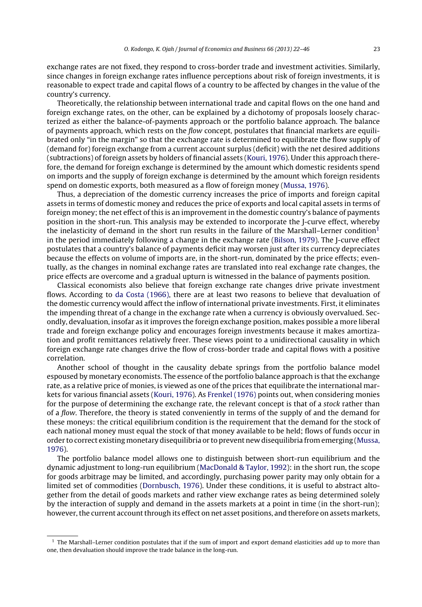exchange rates are not fixed, they respond to cross-border trade and investment activities. Similarly, since changes in foreign exchange rates influence perceptions about risk of foreign investments, it is reasonable to expect trade and capital flows of a country to be affected by changes in the value of the country's currency.

Theoretically, the relationship between international trade and capital flows on the one hand and foreign exchange rates, on the other, can be explained by a dichotomy of proposals loosely characterized as either the balance-of-payments approach or the portfolio balance approach. The balance of payments approach, which rests on the flow concept, postulates that financial markets are equilibrated only "in the margin" so that the exchange rate is determined to equilibrate the flow supply of (demand for) foreign exchange from a current account surplus (deficit) with the net desired additions (subtractions) of foreign assets by holders of financial assets [\(Kouri,](#page--1-0) [1976\).](#page--1-0) Under this approach therefore, the demand for foreign exchange is determined by the amount which domestic residents spend on imports and the supply of foreign exchange is determined by the amount which foreign residents spend on domestic exports, both measured as a flow of foreign money [\(Mussa,](#page--1-0) [1976\).](#page--1-0)

Thus, a depreciation of the domestic currency increases the price of imports and foreign capital assets in terms of domestic money and reduces the price of exports and local capital assets in terms of foreign money; the net effect of this is an improvement in the domestic country's balance of payments position in the short-run. This analysis may be extended to incorporate the J-curve effect, whereby the inelasticity of demand in the short run results in the failure of the Marshall–Lerner condition<sup>1</sup> in the period immediately following a change in the exchange rate ([Bilson,](#page--1-0) [1979\).](#page--1-0) The J-curve effect postulates that a country's balance of payments deficit may worsen just after its currency depreciates because the effects on volume of imports are, in the short-run, dominated by the price effects; eventually, as the changes in nominal exchange rates are translated into real exchange rate changes, the price effects are overcome and a gradual upturn is witnessed in the balance of payments position.

Classical economists also believe that foreign exchange rate changes drive private investment flows. According to [da](#page--1-0) [Costa](#page--1-0) [\(1966\),](#page--1-0) there are at least two reasons to believe that devaluation of the domestic currency would affect the inflow of international private investments. First, it eliminates the impending threat of a change in the exchange rate when a currency is obviously overvalued. Secondly, devaluation, insofar as it improves the foreign exchange position, makes possible a more liberal trade and foreign exchange policy and encourages foreign investments because it makes amortization and profit remittances relatively freer. These views point to a unidirectional causality in which foreign exchange rate changes drive the flow of cross-border trade and capital flows with a positive correlation.

Another school of thought in the causality debate springs from the portfolio balance model espoused by monetary economists. The essence of the portfolio balance approach is that the exchange rate, as a relative price of monies, is viewed as one of the prices that equilibrate the international markets for various financial assets [\(Kouri,](#page--1-0) [1976\).](#page--1-0) As [Frenkel](#page--1-0) [\(1976\)](#page--1-0) points out, when considering monies for the purpose of determining the exchange rate, the relevant concept is that of a stock rather than of a flow. Therefore, the theory is stated conveniently in terms of the supply of and the demand for these moneys: the critical equilibrium condition is the requirement that the demand for the stock of each national money must equal the stock of that money available to be held; flows of funds occur in order to correct existing monetary disequilibria or to prevent new disequilibria from emerging ([Mussa,](#page--1-0) [1976\).](#page--1-0)

The portfolio balance model allows one to distinguish between short-run equilibrium and the dynamic adjustment to long-run equilibrium ([MacDonald](#page--1-0) [&](#page--1-0) [Taylor,](#page--1-0) [1992\):](#page--1-0) in the short run, the scope for goods arbitrage may be limited, and accordingly, purchasing power parity may only obtain for a limited set of commodities [\(Dornbusch,](#page--1-0) [1976\).](#page--1-0) Under these conditions, it is useful to abstract altogether from the detail of goods markets and rather view exchange rates as being determined solely by the interaction of supply and demand in the assets markets at a point in time (in the short-run); however, the current account through its effect on net asset positions, and therefore on assets markets,

 $<sup>1</sup>$  The Marshall–Lerner condition postulates that if the sum of import and export demand elasticities add up to more than</sup> one, then devaluation should improve the trade balance in the long-run.